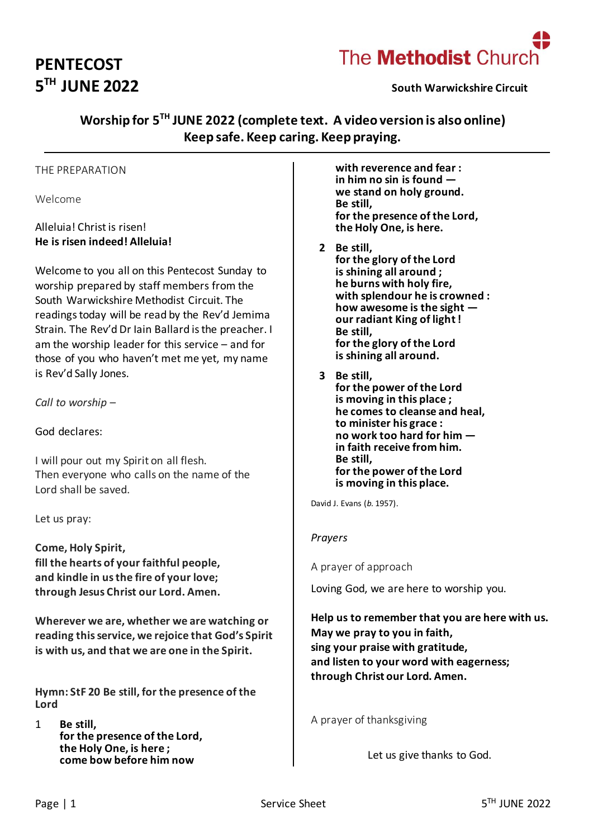# **PENTECOST 5 TH JUNE 2022 South Warwickshire Circuit**



# **Worship for 5 TH JUNE 2022 (complete text. A video version is also online) Keep safe. Keep caring. Keep praying.**

#### THE PREPARATION

Welcome

### Alleluia! Christ is risen! **He is risen indeed! Alleluia!**

Welcome to you all on this Pentecost Sunday to worship prepared by staff members from the South Warwickshire Methodist Circuit. The readings today will be read by the Rev'd Jemima Strain. The Rev'd Dr Iain Ballard is the preacher. I am the worship leader for this service – and for those of you who haven't met me yet, my name is Rev'd Sally Jones.

*Call to worship* –

God declares:

I will pour out my Spirit on all flesh. Then everyone who calls on the name of the Lord shall be saved.

Let us pray:

**Come, Holy Spirit, fill the hearts of your faithful people, and kindle in us the fire of your love; through Jesus Christ our Lord. Amen.**

**Wherever we are, whether we are watching or reading this service, we rejoice that God's Spirit is with us, and that we are one in the Spirit.**

**Hymn: StF 20 Be still, for the presence of the Lord**

1 **Be still, for the presence of the Lord, the Holy One, is here ; come bow before him now**

**with reverence and fear : in him no sin is found we stand on holy ground. Be still, for the presence of the Lord, the Holy One, is here.**

- **2 Be still, for the glory of the Lord is shining all around ; he burns with holy fire, with splendour he is crowned : how awesome is the sight our radiant King of light ! Be still, for the glory of the Lord is shining all around.**
- **3 Be still, for the power of the Lord is moving in this place ; he comes to cleanse and heal, to minister his grace : no work too hard for him in faith receive from him. Be still, for the power of the Lord is moving in this place.**

David J. Evans (*b.* 1957).

#### *Prayers*

A prayer of approach

Loving God, we are here to worship you.

**Help us to remember that you are here with us. May we pray to you in faith, sing your praise with gratitude, and listen to your word with eagerness; through Christ our Lord. Amen.**

A prayer of thanksgiving

Let us give thanks to God.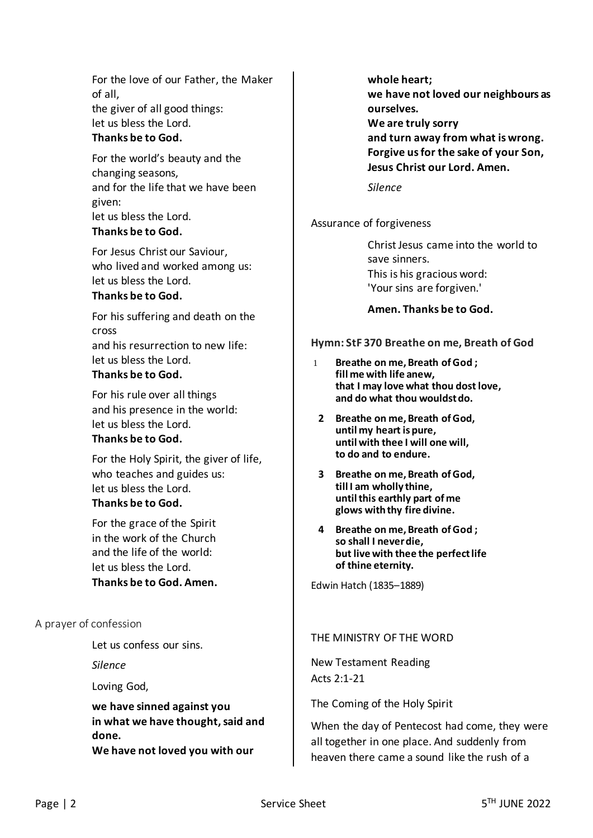For the love of our Father, the Maker of all, the giver of all good things: let us bless the Lord.

#### **Thanks be to God.**

For the world's beauty and the changing seasons, and for the life that we have been given: let us bless the Lord. **Thanks be to God.**

For Jesus Christ our Saviour, who lived and worked among us: let us bless the Lord. **Thanks be to God.**

For his suffering and death on the cross and his resurrection to new life: let us bless the Lord. **Thanks be to God.**

For his rule over all things and his presence in the world: let us bless the Lord.

#### **Thanks be to God.**

For the Holy Spirit, the giver of life, who teaches and guides us: let us bless the Lord. **Thanks be to God.**

For the grace of the Spirit in the work of the Church and the life of the world: let us bless the Lord. **Thanks be to God. Amen.**

#### A prayer of confession

Let us confess our sins.

*Silence*

Loving God,

**we have sinned against you in what we have thought, said and done. We have not loved you with our** 

**whole heart; we have not loved our neighbours as ourselves. We are truly sorry and turn away from what is wrong.**

**Forgive us for the sake of your Son, Jesus Christ our Lord. Amen.**

*Silence*

Assurance of forgiveness

Christ Jesus came into the world to save sinners. This is his gracious word: 'Your sins are forgiven.'

#### **Amen. Thanks be to God.**

#### **Hymn: StF 370 Breathe on me, Breath of God**

- 1 **Breathe on me, Breath of God ; fill me with life anew, that I may love what thou dost love, and do what thou wouldst do.**
- **2 Breathe on me, Breath of God, until my heart is pure, until with thee I will one will, to do and to endure.**
- **3 Breathe on me, Breath of God, till I am wholly thine, until this earthly part of me glows with thy fire divine.**
- **4 Breathe on me, Breath of God ; so shall I never die, but live with thee the perfect life of thine eternity.**

Edwin Hatch (1835–1889)

#### THE MINISTRY OF THE WORD

New Testament Reading Acts 2:1-21

The Coming of the Holy Spirit

When the day of Pentecost had come, they were all together in one place. And suddenly from heaven there came a sound like the rush of a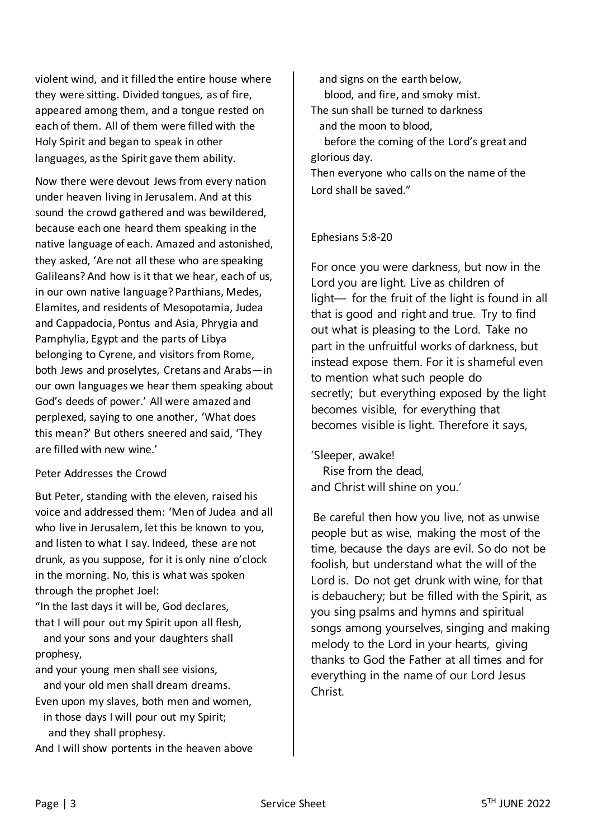violent wind, and it filled the entire house where they were sitting. Divided tongues, as of fire, appeared among them, and a tongue rested on each of them. All of them were filled with the Holy Spirit and began to speak in other languages, as the Spirit gave them ability.

Now there were devout Jews from every nation under heaven living in Jerusalem. And at this sound the crowd gathered and was bewildered, because each one heard them speaking in the native language of each. Amazed and astonished, they asked, 'Are not all these who are speaking Galileans? And how is it that we hear, each of us, in our own native language? Parthians, Medes, Elamites, and residents of Mesopotamia, Judea and Cappadocia, Pontus and Asia, Phrygia and Pamphylia, Egypt and the parts of Libya belonging to Cyrene, and visitors from Rome, both Jews and proselytes, Cretans and Arabs—in our own languages we hear them speaking about God's deeds of power.' All were amazed and perplexed, saying to one another, 'What does this mean?' But others sneered and said, 'They are filled with new wine.'

### Peter Addresses the Crowd

But Peter, standing with the eleven, raised his voice and addressed them: 'Men of Judea and all who live in Jerusalem, let this be known to you, and listen to what I say. Indeed, these are not drunk, as you suppose, for it is only nine o'clock in the morning. No, this is what was spoken through the prophet Joel:

"In the last days it will be, God declares, that I will pour out my Spirit upon all flesh,

 and your sons and your daughters shall prophesy,

and your young men shall see visions,

 and your old men shall dream dreams. Even upon my slaves, both men and women, in those days I will pour out my Spirit; and they shall prophesy.

And I will show portents in the heaven above

 and signs on the earth below, blood, and fire, and smoky mist. The sun shall be turned to darkness and the moon to blood, before the coming of the Lord's great and

glorious day.

Then everyone who calls on the name of the Lord shall be saved."

Ephesians 5:8-20

For once you were darkness, but now in the Lord you are light. Live as children of light— for the fruit of the light is found in all that is good and right and true. Try to find out what is pleasing to the Lord. Take no part in the unfruitful works of darkness, but instead expose them. For it is shameful even to mention what such people do secretly; but everything exposed by the light becomes visible, for everything that becomes visible is light. Therefore it says,

'Sleeper, awake! Rise from the dead, and Christ will shine on you.'

Be careful then how you live, not as unwise people but as wise, making the most of the time, because the days are evil. So do not be foolish, but understand what the will of the Lord is. Do not get drunk with wine, for that is debauchery; but be filled with the Spirit, as you sing psalms and hymns and spiritual songs among yourselves, singing and making melody to the Lord in your hearts, giving thanks to God the Father at all times and for everything in the name of our Lord Jesus Christ.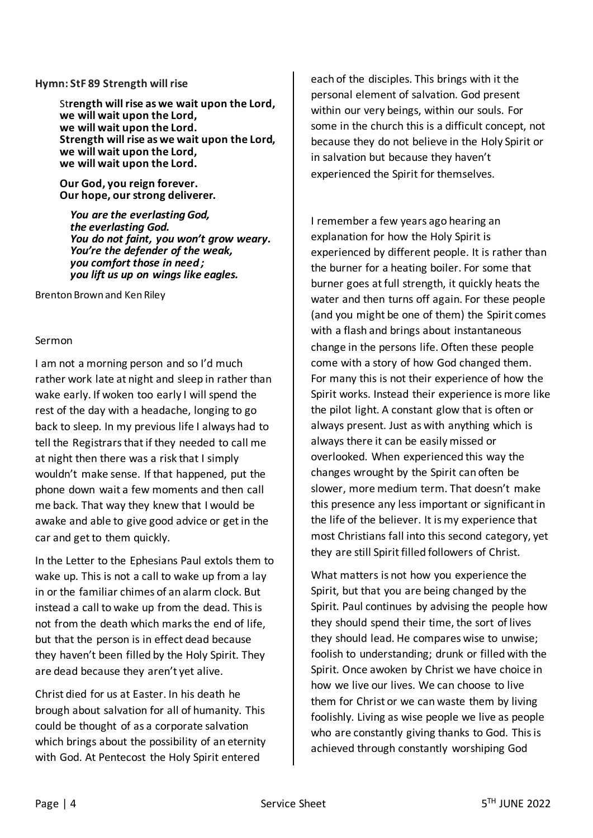#### **Hymn: StF 89 Strength will rise**

St**rength will rise as we wait upon the Lord, we will wait upon the Lord, we will wait upon the Lord. Strength will rise as we wait upon the Lord, we will wait upon the Lord, we will wait upon the Lord.**

**Our God, you reign forever. Our hope, our strong deliverer.**

*You are the everlasting God, the everlasting God. You do not faint, you won't grow weary. You're the defender of the weak, you comfort those in need ; you lift us up on wings like eagles.*

Brenton Brown and Ken Riley

#### Sermon

I am not a morning person and so I'd much rather work late at night and sleep in rather than wake early. If woken too early I will spend the rest of the day with a headache, longing to go back to sleep. In my previous life I always had to tell the Registrars that if they needed to call me at night then there was a risk that I simply wouldn't make sense. If that happened, put the phone down wait a few moments and then call me back. That way they knew that I would be awake and able to give good advice or get in the car and get to them quickly.

In the Letter to the Ephesians Paul extols them to wake up. This is not a call to wake up from a lay in or the familiar chimes of an alarm clock. But instead a call to wake up from the dead. This is not from the death which marks the end of life, but that the person is in effect dead because they haven't been filled by the Holy Spirit. They are dead because they aren't yet alive.

Christ died for us at Easter. In his death he brough about salvation for all of humanity. This could be thought of as a corporate salvation which brings about the possibility of an eternity with God. At Pentecost the Holy Spirit entered

each of the disciples. This brings with it the personal element of salvation. God present within our very beings, within our souls. For some in the church this is a difficult concept, not because they do not believe in the Holy Spirit or in salvation but because they haven't experienced the Spirit for themselves.

I remember a few years ago hearing an explanation for how the Holy Spirit is experienced by different people. It is rather than the burner for a heating boiler. For some that burner goes at full strength, it quickly heats the water and then turns off again. For these people (and you might be one of them) the Spirit comes with a flash and brings about instantaneous change in the persons life. Often these people come with a story of how God changed them. For many this is not their experience of how the Spirit works. Instead their experience is more like the pilot light. A constant glow that is often or always present. Just as with anything which is always there it can be easily missed or overlooked. When experienced this way the changes wrought by the Spirit can often be slower, more medium term. That doesn't make this presence any less important or significant in the life of the believer. It is my experience that most Christians fall into this second category, yet they are still Spirit filled followers of Christ.

What matters is not how you experience the Spirit, but that you are being changed by the Spirit. Paul continues by advising the people how they should spend their time, the sort of lives they should lead. He compares wise to unwise; foolish to understanding; drunk or filled with the Spirit. Once awoken by Christ we have choice in how we live our lives. We can choose to live them for Christ or we can waste them by living foolishly. Living as wise people we live as people who are constantly giving thanks to God. This is achieved through constantly worshiping God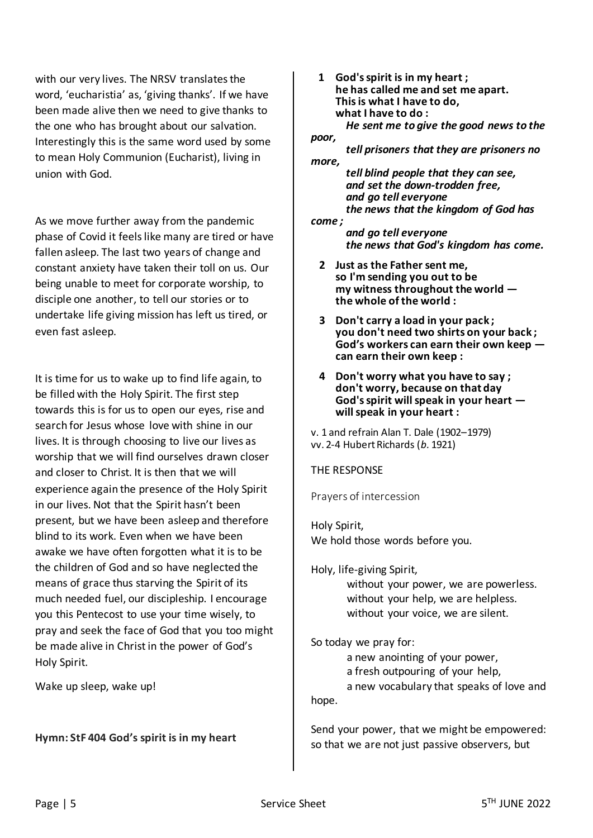with our very lives. The NRSV translates the word, 'eucharistia' as, 'giving thanks'. If we have been made alive then we need to give thanks to the one who has brought about our salvation. Interestingly this is the same word used by some to mean Holy Communion (Eucharist), living in union with God.

As we move further away from the pandemic phase of Covid it feels like many are tired or have fallen asleep. The last two years of change and constant anxiety have taken their toll on us. Our being unable to meet for corporate worship, to disciple one another, to tell our stories or to undertake life giving mission has left us tired, or even fast asleep.

It is time for us to wake up to find life again, to be filled with the Holy Spirit. The first step towards this is for us to open our eyes, rise and search for Jesus whose love with shine in our lives. It is through choosing to live our lives as worship that we will find ourselves drawn closer and closer to Christ. It is then that we will experience again the presence of the Holy Spirit in our lives. Not that the Spirit hasn't been present, but we have been asleep and therefore blind to its work. Even when we have been awake we have often forgotten what it is to be the children of God and so have neglected the means of grace thus starving the Spirit of its much needed fuel, our discipleship. I encourage you this Pentecost to use your time wisely, to pray and seek the face of God that you too might be made alive in Christ in the power of God's Holy Spirit.

Wake up sleep, wake up!

### **Hymn: StF 404 God's spirit is in my heart**

 **1 God's spirit is in my heart ; he has called me and set me apart. This is what I have to do, what I have to do :** *He sent me to give the good news to the poor,*

*tell prisoners that they are prisoners no more,*

*tell blind people that they can see, and set the down-trodden free, and go tell everyone the news that the kingdom of God has* 

*come ;*

*and go tell everyone the news that God's kingdom has come.*

- **2 Just as the Father sent me, so I'm sending you out to be my witness throughout the world the whole of the world :**
- **3 Don't carry a load in your pack ; you don't need two shirts on your back ; God's workers can earn their own keep can earn their own keep :**
- **4 Don't worry what you have to say ; don't worry, because on that day God's spirit will speak in your heart will speak in your heart :**

v. 1 and refrain Alan T. Dale (1902–1979) vv. 2-4 Hubert Richards (*b.* 1921)

THE RESPONSE

Prayers of intercession

Holy Spirit, We hold those words before you.

Holy, life-giving Spirit,

without your power, we are powerless. without your help, we are helpless. without your voice, we are silent.

So today we pray for:

a new anointing of your power,

a fresh outpouring of your help,

a new vocabulary that speaks of love and hope.

Send your power, that we might be empowered: so that we are not just passive observers, but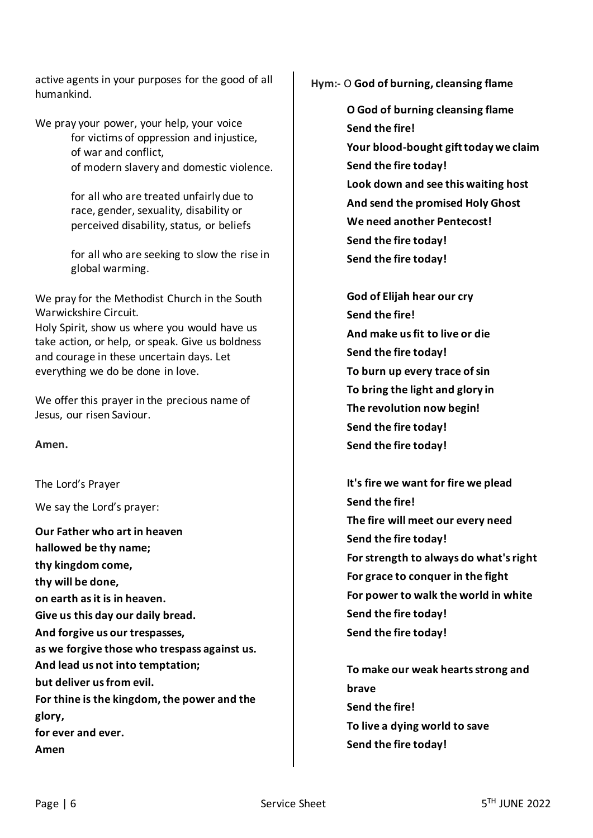active agents in your purposes for the good of all humankind.

We pray your power, your help, your voice for victims of oppression and injustice, of war and conflict, of modern slavery and domestic violence.

> for all who are treated unfairly due to race, gender, sexuality, disability or perceived disability, status, or beliefs

for all who are seeking to slow the rise in global warming.

We pray for the Methodist Church in the South Warwickshire Circuit.

Holy Spirit, show us where you would have us take action, or help, or speak. Give us boldness and courage in these uncertain days. Let everything we do be done in love.

We offer this prayer in the precious name of Jesus, our risen Saviour.

**Amen.**

The Lord's Prayer

We say the Lord's prayer:

**Our Father who art in heaven hallowed be thy name; thy kingdom come, thy will be done, on earth asit is in heaven. Give us this day our daily bread. And forgive us our trespasses, as we forgive those who trespass against us. And lead us not into temptation; but deliver usfrom evil. For thine is the kingdom, the power and the glory, for ever and ever. Amen**

**Hym:-** O **God of burning, cleansing flame**

- **O God of burning cleansing flame Send the fire! Your blood-bought gift today we claim Send the fire today! Look down and see this waiting host And send the promised Holy Ghost We need another Pentecost! Send the fire today! Send the fire today!**
- **God of Elijah hear our cry Send the fire! And make us fit to live or die Send the fire today! To burn up every trace of sin To bring the light and glory in The revolution now begin! Send the fire today! Send the fire today!**
- **It's fire we want for fire we plead Send the fire! The fire will meet our every need Send the fire today! For strength to always do what's right For grace to conquer in the fight For power to walk the world in white Send the fire today! Send the fire today!**

**To make our weak hearts strong and brave Send the fire! To live a dying world to save Send the fire today!**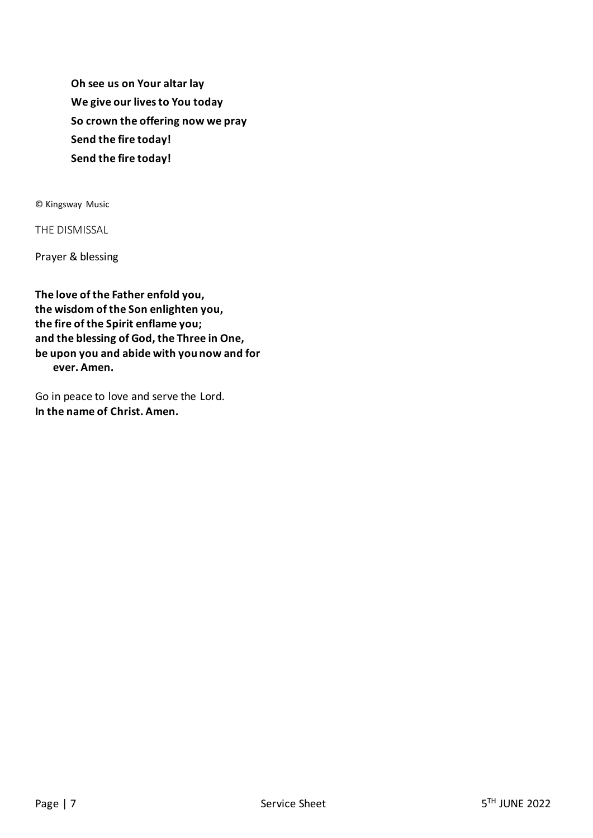**Oh see us on Your altar lay We give our lives to You today So crown the offering now we pray Send the fire today! Send the fire today!**

© Kingsway Music

THE DISMISSAL

Prayer & blessing

**The love of the Father enfold you, the wisdom of the Son enlighten you, the fire of the Spirit enflame you; and the blessing of God, the Three in One, be upon you and abide with you now and for ever. Amen.**

Go in peace to love and serve the Lord. **In the name of Christ. Amen.**